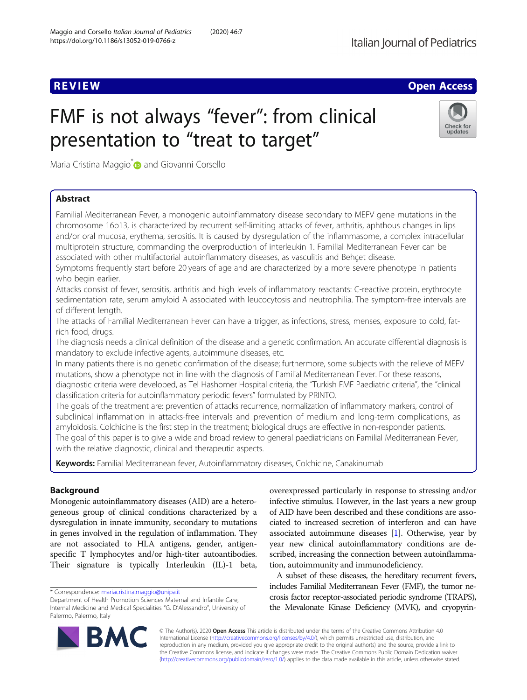# **REVIEW ACCESS AND LOCAL CONTRACT CONTRACT OF ACCESS**

# FMF is not always "fever": from clinical presentation to "treat to target"



Maria Cristina Maggio<sup>\*</sup> and Giovanni Corsello

# Abstract

Familial Mediterranean Fever, a monogenic autoinflammatory disease secondary to MEFV gene mutations in the chromosome 16p13, is characterized by recurrent self-limiting attacks of fever, arthritis, aphthous changes in lips and/or oral mucosa, erythema, serositis. It is caused by dysregulation of the inflammasome, a complex intracellular multiprotein structure, commanding the overproduction of interleukin 1. Familial Mediterranean Fever can be associated with other multifactorial autoinflammatory diseases, as vasculitis and Behçet disease.

Symptoms frequently start before 20 years of age and are characterized by a more severe phenotype in patients who begin earlier.

Attacks consist of fever, serositis, arthritis and high levels of inflammatory reactants: C-reactive protein, erythrocyte sedimentation rate, serum amyloid A associated with leucocytosis and neutrophilia. The symptom-free intervals are of different length.

The attacks of Familial Mediterranean Fever can have a trigger, as infections, stress, menses, exposure to cold, fatrich food, drugs.

The diagnosis needs a clinical definition of the disease and a genetic confirmation. An accurate differential diagnosis is mandatory to exclude infective agents, autoimmune diseases, etc.

In many patients there is no genetic confirmation of the disease; furthermore, some subjects with the relieve of MEFV mutations, show a phenotype not in line with the diagnosis of Familial Mediterranean Fever. For these reasons, diagnostic criteria were developed, as Tel Hashomer Hospital criteria, the "Turkish FMF Paediatric criteria", the "clinical classification criteria for autoinflammatory periodic fevers" formulated by PRINTO.

The goals of the treatment are: prevention of attacks recurrence, normalization of inflammatory markers, control of subclinical inflammation in attacks-free intervals and prevention of medium and long-term complications, as amyloidosis. Colchicine is the first step in the treatment; biological drugs are effective in non-responder patients. The goal of this paper is to give a wide and broad review to general paediatricians on Familial Mediterranean Fever, with the relative diagnostic, clinical and therapeutic aspects.

Keywords: Familial Mediterranean fever, Autoinflammatory diseases, Colchicine, Canakinumab

# Background

Monogenic autoinflammatory diseases (AID) are a heterogeneous group of clinical conditions characterized by a dysregulation in innate immunity, secondary to mutations in genes involved in the regulation of inflammation. They are not associated to HLA antigens, gender, antigenspecific T lymphocytes and/or high-titer autoantibodies. Their signature is typically Interleukin (IL)-1 beta,

BA

overexpressed particularly in response to stressing and/or infective stimulus. However, in the last years a new group of AID have been described and these conditions are associated to increased secretion of interferon and can have associated autoimmune diseases [\[1](#page-4-0)]. Otherwise, year by year new clinical autoinflammatory conditions are described, increasing the connection between autoinflammation, autoimmunity and immunodeficiency.

A subset of these diseases, the hereditary recurrent fevers, includes Familial Mediterranean Fever (FMF), the tumor necrosis factor receptor-associated periodic syndrome (TRAPS), the Mevalonate Kinase Deficiency (MVK), and cryopyrin-

© The Author(s). 2020 Open Access This article is distributed under the terms of the Creative Commons Attribution 4.0 International License [\(http://creativecommons.org/licenses/by/4.0/](http://creativecommons.org/licenses/by/4.0/)), which permits unrestricted use, distribution, and reproduction in any medium, provided you give appropriate credit to the original author(s) and the source, provide a link to the Creative Commons license, and indicate if changes were made. The Creative Commons Public Domain Dedication waiver [\(http://creativecommons.org/publicdomain/zero/1.0/](http://creativecommons.org/publicdomain/zero/1.0/)) applies to the data made available in this article, unless otherwise stated.

<sup>\*</sup> Correspondence: [mariacristina.maggio@unipa.it](mailto:mariacristina.maggio@unipa.it)

Department of Health Promotion Sciences Maternal and Infantile Care, Internal Medicine and Medical Specialities "G. D'Alessandro", University of Palermo, Palermo, Italy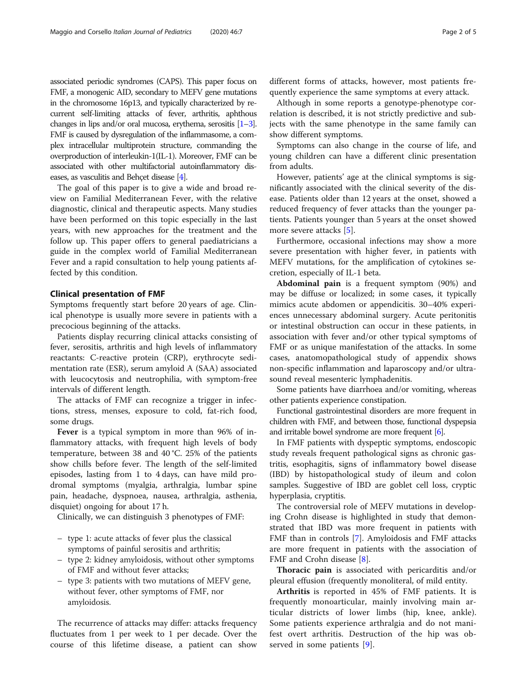associated periodic syndromes (CAPS). This paper focus on FMF, a monogenic AID, secondary to MEFV gene mutations in the chromosome 16p13, and typically characterized by recurrent self-limiting attacks of fever, arthritis, aphthous changes in lips and/or oral mucosa, erythema, serositis [\[1](#page-4-0)–[3\]](#page-4-0). FMF is caused by dysregulation of the inflammasome, a complex intracellular multiprotein structure, commanding the overproduction of interleukin-1(IL-1). Moreover, FMF can be associated with other multifactorial autoinflammatory diseases, as vasculitis and Behçet disease [[4](#page-4-0)].

The goal of this paper is to give a wide and broad review on Familial Mediterranean Fever, with the relative diagnostic, clinical and therapeutic aspects. Many studies have been performed on this topic especially in the last years, with new approaches for the treatment and the follow up. This paper offers to general paediatricians a guide in the complex world of Familial Mediterranean Fever and a rapid consultation to help young patients affected by this condition.

#### Clinical presentation of FMF

Symptoms frequently start before 20 years of age. Clinical phenotype is usually more severe in patients with a precocious beginning of the attacks.

Patients display recurring clinical attacks consisting of fever, serositis, arthritis and high levels of inflammatory reactants: C-reactive protein (CRP), erythrocyte sedimentation rate (ESR), serum amyloid A (SAA) associated with leucocytosis and neutrophilia, with symptom-free intervals of different length.

The attacks of FMF can recognize a trigger in infections, stress, menses, exposure to cold, fat-rich food, some drugs.

Fever is a typical symptom in more than 96% of inflammatory attacks, with frequent high levels of body temperature, between 38 and 40 °C. 25% of the patients show chills before fever. The length of the self-limited episodes, lasting from 1 to 4 days, can have mild prodromal symptoms (myalgia, arthralgia, lumbar spine pain, headache, dyspnoea, nausea, arthralgia, asthenia, disquiet) ongoing for about 17 h.

Clinically, we can distinguish 3 phenotypes of FMF:

- type 1: acute attacks of fever plus the classical symptoms of painful serositis and arthritis;
- type 2: kidney amyloidosis, without other symptoms of FMF and without fever attacks;
- type 3: patients with two mutations of MEFV gene, without fever, other symptoms of FMF, nor amyloidosis.

The recurrence of attacks may differ: attacks frequency fluctuates from 1 per week to 1 per decade. Over the course of this lifetime disease, a patient can show different forms of attacks, however, most patients frequently experience the same symptoms at every attack.

Although in some reports a genotype-phenotype correlation is described, it is not strictly predictive and subjects with the same phenotype in the same family can show different symptoms.

Symptoms can also change in the course of life, and young children can have a different clinic presentation from adults.

However, patients' age at the clinical symptoms is significantly associated with the clinical severity of the disease. Patients older than 12 years at the onset, showed a reduced frequency of fever attacks than the younger patients. Patients younger than 5 years at the onset showed more severe attacks [\[5](#page-4-0)].

Furthermore, occasional infections may show a more severe presentation with higher fever, in patients with MEFV mutations, for the amplification of cytokines secretion, especially of IL-1 beta.

Abdominal pain is a frequent symptom (90%) and may be diffuse or localized; in some cases, it typically mimics acute abdomen or appendicitis. 30–40% experiences unnecessary abdominal surgery. Acute peritonitis or intestinal obstruction can occur in these patients, in association with fever and/or other typical symptoms of FMF or as unique manifestation of the attacks. In some cases, anatomopathological study of appendix shows non-specific inflammation and laparoscopy and/or ultrasound reveal mesenteric lymphadenitis.

Some patients have diarrhoea and/or vomiting, whereas other patients experience constipation.

Functional gastrointestinal disorders are more frequent in children with FMF, and between those, functional dyspepsia and irritable bowel syndrome are more frequent [\[6](#page-4-0)].

In FMF patients with dyspeptic symptoms, endoscopic study reveals frequent pathological signs as chronic gastritis, esophagitis, signs of inflammatory bowel disease (IBD) by histopathological study of ileum and colon samples. Suggestive of IBD are goblet cell loss, cryptic hyperplasia, cryptitis.

The controversial role of MEFV mutations in developing Crohn disease is highlighted in study that demonstrated that IBD was more frequent in patients with FMF than in controls [\[7](#page-4-0)]. Amyloidosis and FMF attacks are more frequent in patients with the association of FMF and Crohn disease [[8\]](#page-4-0).

Thoracic pain is associated with pericarditis and/or pleural effusion (frequently monoliteral, of mild entity.

Arthritis is reported in 45% of FMF patients. It is frequently monoarticular, mainly involving main articular districts of lower limbs (hip, knee, ankle). Some patients experience arthralgia and do not manifest overt arthritis. Destruction of the hip was observed in some patients [[9\]](#page-4-0).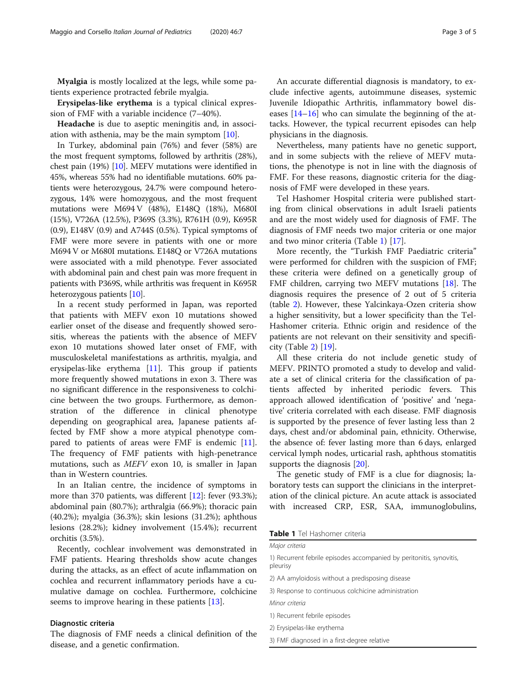Myalgia is mostly localized at the legs, while some patients experience protracted febrile myalgia.

Erysipelas-like erythema is a typical clinical expression of FMF with a variable incidence (7–40%).

Headache is due to aseptic meningitis and, in association with asthenia, may be the main symptom [\[10](#page-4-0)].

In Turkey, abdominal pain (76%) and fever (58%) are the most frequent symptoms, followed by arthritis (28%), chest pain (19%) [\[10](#page-4-0)]. MEFV mutations were identified in 45%, whereas 55% had no identifiable mutations. 60% patients were heterozygous, 24.7% were compound heterozygous, 14% were homozygous, and the most frequent mutations were M694 V (48%), E148Q (18%), M680I (15%), V726A (12.5%), P369S (3.3%), R761H (0.9), K695R (0.9), E148V (0.9) and A744S (0.5%). Typical symptoms of FMF were more severe in patients with one or more M694 V or M680I mutations. E148Q or V726A mutations were associated with a mild phenotype. Fever associated with abdominal pain and chest pain was more frequent in patients with P369S, while arthritis was frequent in K695R heterozygous patients [\[10\]](#page-4-0).

In a recent study performed in Japan, was reported that patients with MEFV exon 10 mutations showed earlier onset of the disease and frequently showed serositis, whereas the patients with the absence of MEFV exon 10 mutations showed later onset of FMF, with musculoskeletal manifestations as arthritis, myalgia, and erysipelas-like erythema [[11](#page-4-0)]. This group if patients more frequently showed mutations in exon 3. There was no significant difference in the responsiveness to colchicine between the two groups. Furthermore, as demonstration of the difference in clinical phenotype depending on geographical area, Japanese patients affected by FMF show a more atypical phenotype compared to patients of areas were FMF is endemic [\[11](#page-4-0)]. The frequency of FMF patients with high-penetrance mutations, such as MEFV exon 10, is smaller in Japan than in Western countries.

In an Italian centre, the incidence of symptoms in more than 370 patients, was different [\[12\]](#page-4-0): fever (93.3%); abdominal pain (80.7%); arthralgia (66.9%); thoracic pain (40.2%); myalgia (36.3%); skin lesions (31.2%); aphthous lesions (28.2%); kidney involvement (15.4%); recurrent orchitis (3.5%).

Recently, cochlear involvement was demonstrated in FMF patients. Hearing thresholds show acute changes during the attacks, as an effect of acute inflammation on cochlea and recurrent inflammatory periods have a cumulative damage on cochlea. Furthermore, colchicine seems to improve hearing in these patients [[13](#page-4-0)].

#### Diagnostic criteria

The diagnosis of FMF needs a clinical definition of the disease, and a genetic confirmation.

An accurate differential diagnosis is mandatory, to exclude infective agents, autoimmune diseases, systemic Juvenile Idiopathic Arthritis, inflammatory bowel diseases [[14](#page-4-0)–[16\]](#page-4-0) who can simulate the beginning of the attacks. However, the typical recurrent episodes can help physicians in the diagnosis.

Nevertheless, many patients have no genetic support, and in some subjects with the relieve of MEFV mutations, the phenotype is not in line with the diagnosis of FMF. For these reasons, diagnostic criteria for the diagnosis of FMF were developed in these years.

Tel Hashomer Hospital criteria were published starting from clinical observations in adult Israeli patients and are the most widely used for diagnosis of FMF. The diagnosis of FMF needs two major criteria or one major and two minor criteria (Table 1) [[17\]](#page-4-0).

More recently, the "Turkish FMF Paediatric criteria" were performed for children with the suspicion of FMF; these criteria were defined on a genetically group of FMF children, carrying two MEFV mutations [\[18\]](#page-4-0). The diagnosis requires the presence of 2 out of 5 criteria (table [2](#page-3-0)). However, these Yalcinkaya-Ozen criteria show a higher sensitivity, but a lower specificity than the Tel-Hashomer criteria. Ethnic origin and residence of the patients are not relevant on their sensitivity and specificity (Table [2](#page-3-0)) [\[19](#page-4-0)].

All these criteria do not include genetic study of MEFV. PRINTO promoted a study to develop and validate a set of clinical criteria for the classification of patients affected by inherited periodic fevers. This approach allowed identification of 'positive' and 'negative' criteria correlated with each disease. FMF diagnosis is supported by the presence of fever lasting less than 2 days, chest and/or abdominal pain, ethnicity. Otherwise, the absence of: fever lasting more than 6 days, enlarged cervical lymph nodes, urticarial rash, aphthous stomatitis supports the diagnosis [\[20](#page-4-0)].

The genetic study of FMF is a clue for diagnosis; laboratory tests can support the clinicians in the interpretation of the clinical picture. An acute attack is associated with increased CRP, ESR, SAA, immunoglobulins,

Table 1 Tel Hashomer criteria

| Major criteria |  |
|----------------|--|
|                |  |
|                |  |

1) Recurrent febrile episodes accompanied by peritonitis, synovitis, pleurisy

2) AA amyloidosis without a predisposing disease

3) Response to continuous colchicine administration

Minor criteria

- 1) Recurrent febrile episodes
- 2) Erysipelas-like erythema

3) FMF diagnosed in a first-degree relative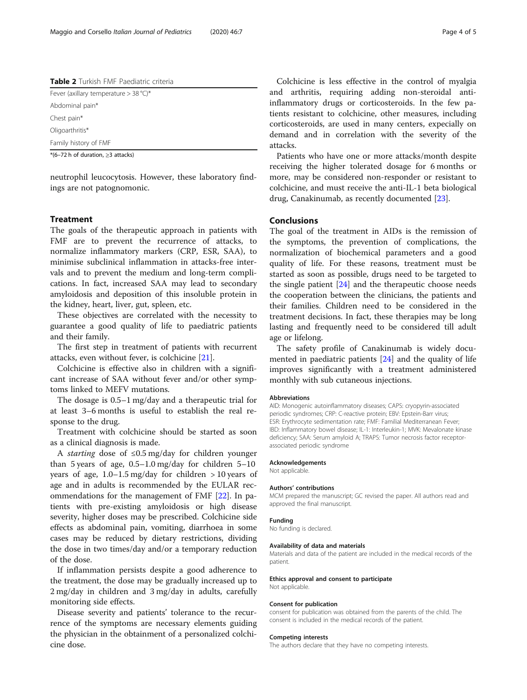<span id="page-3-0"></span>Table 2 Turkish FMF Paediatric criteria

| *(6-72 h of duration, $\geq$ 3 attacks) |  |
|-----------------------------------------|--|
| Family history of FMF                   |  |
| Oligoarthritis*                         |  |
| Chest pain*                             |  |
| Abdominal pain*                         |  |
| Fever (axillary temperature $>$ 38 °C)* |  |
|                                         |  |

neutrophil leucocytosis. However, these laboratory findings are not patognomonic.

#### Treatment

The goals of the therapeutic approach in patients with FMF are to prevent the recurrence of attacks, to normalize inflammatory markers (CRP, ESR, SAA), to minimise subclinical inflammation in attacks-free intervals and to prevent the medium and long-term complications. In fact, increased SAA may lead to secondary amyloidosis and deposition of this insoluble protein in the kidney, heart, liver, gut, spleen, etc.

These objectives are correlated with the necessity to guarantee a good quality of life to paediatric patients and their family.

The first step in treatment of patients with recurrent attacks, even without fever, is colchicine [[21](#page-4-0)].

Colchicine is effective also in children with a significant increase of SAA without fever and/or other symptoms linked to MEFV mutations.

The dosage is 0.5–1 mg/day and a therapeutic trial for at least 3–6 months is useful to establish the real response to the drug.

Treatment with colchicine should be started as soon as a clinical diagnosis is made.

<sup>A</sup> starting dose of <sup>≤</sup>0.5 mg/day for children younger than 5 years of age, 0.5–1.0 mg/day for children 5–10 years of age,  $1.0-1.5$  mg/day for children  $> 10$  years of age and in adults is recommended by the EULAR recommendations for the management of FMF [[22](#page-4-0)]. In patients with pre-existing amyloidosis or high disease severity, higher doses may be prescribed. Colchicine side effects as abdominal pain, vomiting, diarrhoea in some cases may be reduced by dietary restrictions, dividing the dose in two times/day and/or a temporary reduction of the dose.

If inflammation persists despite a good adherence to the treatment, the dose may be gradually increased up to 2 mg/day in children and 3 mg/day in adults, carefully monitoring side effects.

Disease severity and patients' tolerance to the recurrence of the symptoms are necessary elements guiding the physician in the obtainment of a personalized colchicine dose.

Colchicine is less effective in the control of myalgia and arthritis, requiring adding non-steroidal antiinflammatory drugs or corticosteroids. In the few patients resistant to colchicine, other measures, including corticosteroids, are used in many centers, expecially on demand and in correlation with the severity of the attacks.

Patients who have one or more attacks/month despite receiving the higher tolerated dosage for 6 months or more, may be considered non-responder or resistant to colchicine, and must receive the anti-IL-1 beta biological drug, Canakinumab, as recently documented [[23\]](#page-4-0).

### Conclusions

The goal of the treatment in AIDs is the remission of the symptoms, the prevention of complications, the normalization of biochemical parameters and a good quality of life. For these reasons, treatment must be started as soon as possible, drugs need to be targeted to the single patient [[24\]](#page-4-0) and the therapeutic choose needs the cooperation between the clinicians, the patients and their families. Children need to be considered in the treatment decisions. In fact, these therapies may be long lasting and frequently need to be considered till adult age or lifelong.

The safety profile of Canakinumab is widely documented in paediatric patients [[24](#page-4-0)] and the quality of life improves significantly with a treatment administered monthly with sub cutaneous injections.

#### Abbreviations

AID: Monogenic autoinflammatory diseases; CAPS: cryopyrin-associated periodic syndromes; CRP: C-reactive protein; EBV: Epstein-Barr virus; ESR: Erythrocyte sedimentation rate; FMF: Familial Mediterranean Fever; IBD: Inflammatory bowel disease; IL-1: Interleukin-1; MVK: Mevalonate kinase deficiency; SAA: Serum amyloid A; TRAPS: Tumor necrosis factor receptorassociated periodic syndrome

#### Acknowledgements

Not applicable.

#### Authors' contributions

MCM prepared the manuscript; GC revised the paper. All authors read and approved the final manuscript.

#### Funding

No funding is declared.

#### Availability of data and materials

Materials and data of the patient are included in the medical records of the patient.

#### Ethics approval and consent to participate

Not applicable.

#### Consent for publication

consent for publication was obtained from the parents of the child. The consent is included in the medical records of the patient.

#### Competing interests

The authors declare that they have no competing interests.